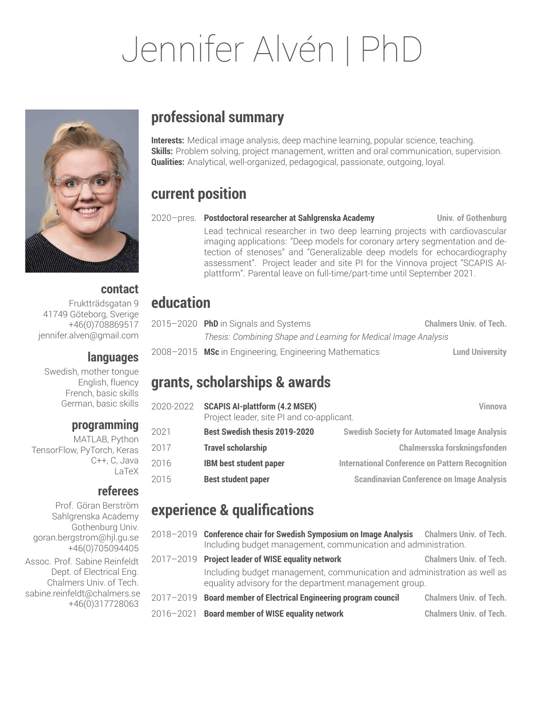# Jennifer Alvén | PhD



### **contact**

Fruktträdsgatan 9 41749 Göteborg, Sverige +46(0)708869517 jennifer.alven@gmail.com

### **languages**

Swedish, mother tongue English, fluency French, basic skills German, basic skills

### **programming**

MATLAB, Python TensorFlow, PyTorch, Keras C++, C, Java LaTeX

### **referees**

Prof. Göran Berström Sahlgrenska Academy Gothenburg Univ. goran.bergstrom@hjl.gu.se +46(0)705094405 Assoc. Prof. Sabine Reinfeldt Dept. of Electrical Eng. Chalmers Univ. of Tech. sabine.reinfeldt@chalmers.se +46(0)317728063

### **professional summary**

**Interests:** Medical image analysis, deep machine learning, popular science, teaching. **Skills:** Problem solving, project management, written and oral communication, supervision. **Qualities:** Analytical, well-organized, pedagogical, passionate, outgoing, loyal.

## **current position**

2020–pres. **Postdoctoral researcher at Sahlgrenska Academy Univ. of Gothenburg** Lead technical researcher in two deep learning projects with cardiovascular imaging applications: "Deep models for coronary artery segmentation and detection of stenoses" and "Generalizable deep models for echocardiography assessment". Project leader and site PI for the Vinnova project "SCAPIS AIplattform". Parental leave on full-time/part-time until September 2021.

## **education**

|  | $2015 - 2020$ PhD in Signals and Systems                                     | <b>Chalmers Univ. of Tech.</b>               |
|--|------------------------------------------------------------------------------|----------------------------------------------|
|  | Thesis: Combining Shape and Learning for Medical Image Analysis              |                                              |
|  | $0.000$ , $0.01F$ , MO, in Francisco super Francisco super Made constitution | والمسترد والمستحدث والمستقط المتحدد والمستحد |

2008–2015 **MSc** in Engineering, Engineering Mathematics **Lund University**

### **grants, scholarships & awards**

| 2020-2022 | <b>SCAPIS AI-plattform (4.2 MSEK)</b><br>Project leader, site PI and co-applicant. | Vinnova                                                |
|-----------|------------------------------------------------------------------------------------|--------------------------------------------------------|
| 2021      | Best Swedish thesis 2019-2020                                                      | <b>Swedish Society for Automated Image Analysis</b>    |
| 2017      | <b>Travel scholarship</b>                                                          | Chalmersska forskningsfonden                           |
| 2016      | <b>IBM best student paper</b>                                                      | <b>International Conference on Pattern Recognition</b> |
| 2015      | <b>Best student paper</b>                                                          | <b>Scandinavian Conference on Image Analysis</b>       |

### **experience & qualifications**

2018–2019 **Conference chair for Swedish Symposium on Image Analysis Chalmers Univ. of Tech.** Including budget management, communication and administration. 2017–2019 **Project leader of WISE equality network Chalmers Univ. of Tech.** Including budget management, communication and administration as well as equality advisory for the department management group.

2017–2019 **Board member of Electrical Engineering program council Chalmers Univ. of Tech.** 2016–2021 **Board member of WISE equality network Chalmers Univ. of Tech.**